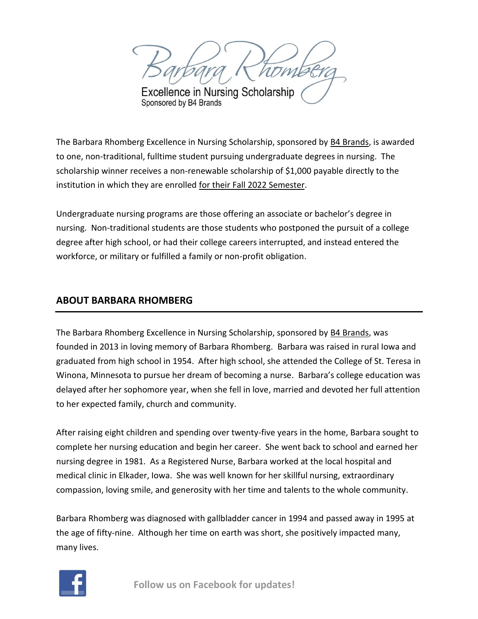**Excellence in Nursing Scholarship** Sponsored by B4 Brands

The Barbara Rhomberg Excellence in Nursing Scholarship, sponsored by [B4 Brands,](https://www.b4brands.com/) is awarded to one, non-traditional, fulltime student pursuing undergraduate degrees in nursing. The scholarship winner receives a non-renewable scholarship of \$1,000 payable directly to the institution in which they are enrolled for their Fall 2022 Semester.

Undergraduate nursing programs are those offering an associate or bachelor's degree in nursing. Non-traditional students are those students who postponed the pursuit of a college degree after high school, or had their college careers interrupted, and instead entered the workforce, or military or fulfilled a family or non-profit obligation.

## **ABOUT BARBARA RHOMBERG**

The Barbara Rhomberg Excellence in Nursing Scholarship, sponsored by [B4 Brands,](https://www.b4brands.com/) was founded in 2013 in loving memory of Barbara Rhomberg. Barbara was raised in rural Iowa and graduated from high school in 1954. After high school, she attended the College of St. Teresa in Winona, Minnesota to pursue her dream of becoming a nurse. Barbara's college education was delayed after her sophomore year, when she fell in love, married and devoted her full attention to her expected family, church and community.

After raising eight children and spending over twenty-five years in the home, Barbara sought to complete her nursing education and begin her career. She went back to school and earned her nursing degree in 1981. As a Registered Nurse, Barbara worked at the local hospital and medical clinic in Elkader, Iowa. She was well known for her skillful nursing, extraordinary compassion, loving smile, and generosity with her time and talents to the whole community.

Barbara Rhomberg was diagnosed with gallbladder cancer in 1994 and passed away in 1995 at the age of fifty-nine. Although her time on earth was short, she positively impacted many, many lives.

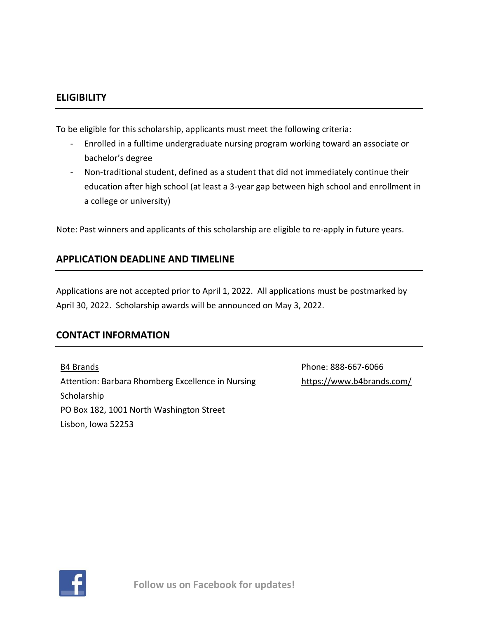### **ELIGIBILITY**

To be eligible for this scholarship, applicants must meet the following criteria:

- Enrolled in a fulltime undergraduate nursing program working toward an associate or bachelor's degree
- Non-traditional student, defined as a student that did not immediately continue their education after high school (at least a 3-year gap between high school and enrollment in a college or university)

Note: Past winners and applicants of this scholarship are eligible to re-apply in future years.

## **APPLICATION DEADLINE AND TIMELINE**

Applications are not accepted prior to April 1, 2022. All applications must be postmarked by April 30, 2022. Scholarship awards will be announced on May 3, 2022.

## **CONTACT INFORMATION**

[B4 Brands](https://www.b4brands.com/) Attention: Barbara Rhomberg Excellence in Nursing Scholarship PO Box 182, 1001 North Washington Street Lisbon, Iowa 52253

Phone: 888-667-6066 <https://www.b4brands.com/>

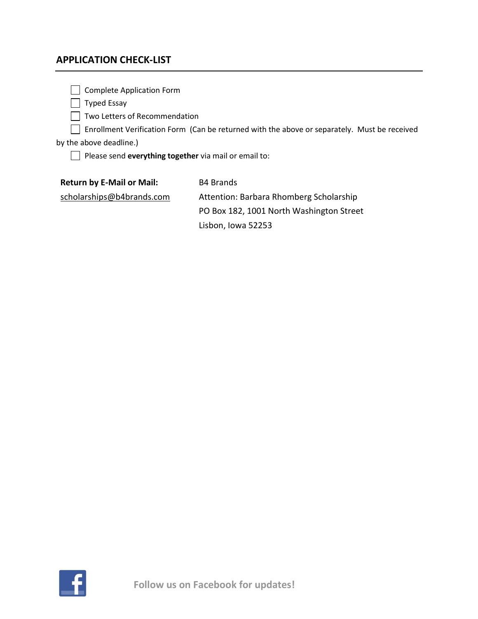## **APPLICATION CHECK-LIST**

Complete Application Form

Typed Essay

Two Letters of Recommendation

Enrollment Verification Form (Can be returned with the above or separately. Must be received

by the above deadline.)

Please send **everything together** via mail or email to:

**Return by E-Mail or Mail:**  B4 Brands

[scholarships@b4brands.com](mailto:scholarships@b4brands.com)

Attention: Barbara Rhomberg Scholarship PO Box 182, 1001 North Washington Street Lisbon, Iowa 52253

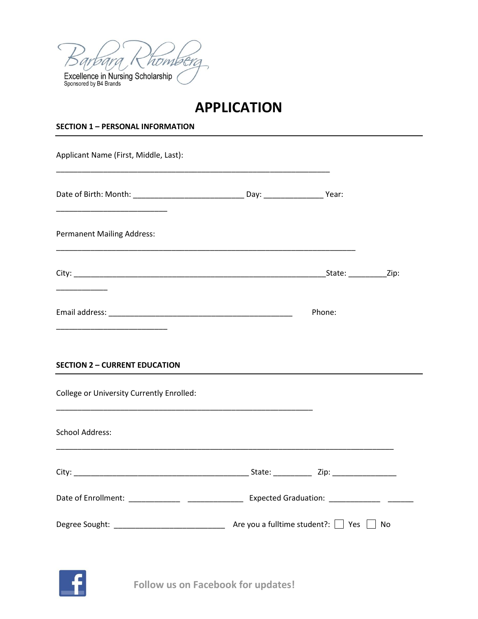

# **APPLICATION**

### **SECTION 1 – PERSONAL INFORMATION**

| Applicant Name (First, Middle, Last):            |  |        |  |
|--------------------------------------------------|--|--------|--|
|                                                  |  |        |  |
| <b>Permanent Mailing Address:</b>                |  |        |  |
| <u> 1990 - Johann Barnett, fransk politiker</u>  |  |        |  |
|                                                  |  | Phone: |  |
| <b>SECTION 2 - CURRENT EDUCATION</b>             |  |        |  |
| <b>College or University Currently Enrolled:</b> |  |        |  |
| <b>School Address:</b>                           |  |        |  |
|                                                  |  |        |  |
|                                                  |  |        |  |
|                                                  |  |        |  |

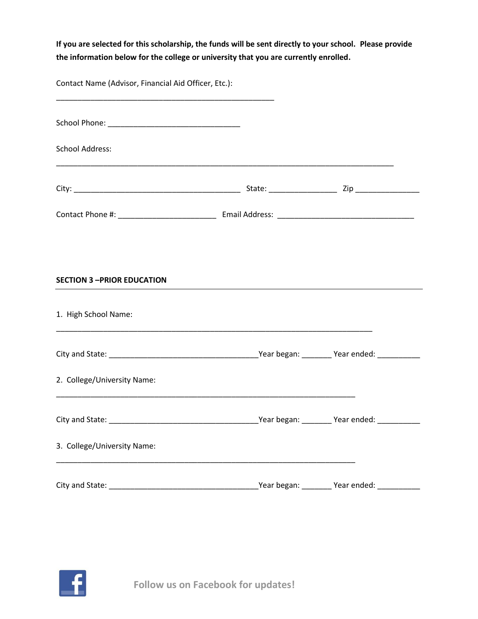**If you are selected for this scholarship, the funds will be sent directly to your school. Please provide the information below for the college or university that you are currently enrolled.** 

Contact Name (Advisor, Financial Aid Officer, Etc.):

| <b>School Address:</b>            |  |
|-----------------------------------|--|
|                                   |  |
|                                   |  |
|                                   |  |
| <b>SECTION 3 -PRIOR EDUCATION</b> |  |
| 1. High School Name:              |  |
|                                   |  |
| 2. College/University Name:       |  |
|                                   |  |
| 3. College/University Name:       |  |
|                                   |  |

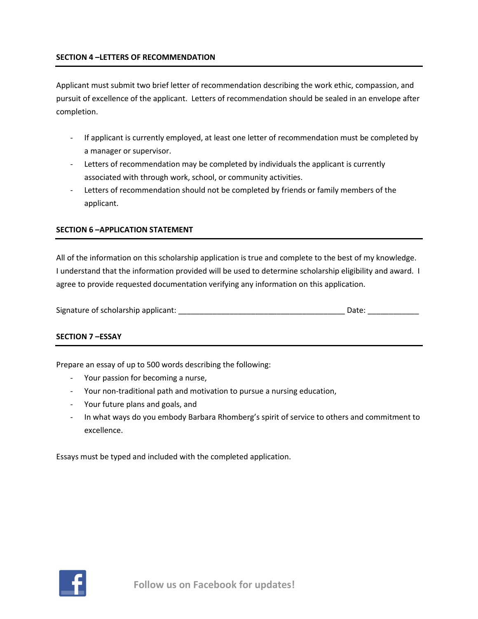Applicant must submit two brief letter of recommendation describing the work ethic, compassion, and pursuit of excellence of the applicant. Letters of recommendation should be sealed in an envelope after completion.

- If applicant is currently employed, at least one letter of recommendation must be completed by a manager or supervisor.
- Letters of recommendation may be completed by individuals the applicant is currently associated with through work, school, or community activities.
- Letters of recommendation should not be completed by friends or family members of the applicant.

#### **SECTION 6 –APPLICATION STATEMENT**

All of the information on this scholarship application is true and complete to the best of my knowledge. I understand that the information provided will be used to determine scholarship eligibility and award. I agree to provide requested documentation verifying any information on this application.

| Signature of scholarship applicant: |  |  |
|-------------------------------------|--|--|
|-------------------------------------|--|--|

### **SECTION 7 –ESSAY**

Prepare an essay of up to 500 words describing the following:

- Your passion for becoming a nurse,
- Your non-traditional path and motivation to pursue a nursing education,
- Your future plans and goals, and
- In what ways do you embody Barbara Rhomberg's spirit of service to others and commitment to excellence.

Essays must be typed and included with the completed application.

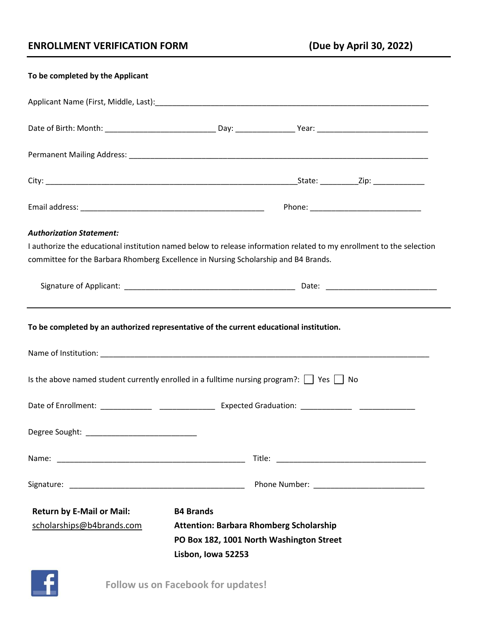## **ENROLLMENT VERIFICATION FORM (Due by April 30, 2022)**

| To be completed by the Applicant                                                                                     |                                                |  |  |
|----------------------------------------------------------------------------------------------------------------------|------------------------------------------------|--|--|
|                                                                                                                      |                                                |  |  |
|                                                                                                                      |                                                |  |  |
|                                                                                                                      |                                                |  |  |
|                                                                                                                      |                                                |  |  |
|                                                                                                                      |                                                |  |  |
| <b>Authorization Statement:</b>                                                                                      |                                                |  |  |
| I authorize the educational institution named below to release information related to my enrollment to the selection |                                                |  |  |
| committee for the Barbara Rhomberg Excellence in Nursing Scholarship and B4 Brands.                                  |                                                |  |  |
|                                                                                                                      |                                                |  |  |
| To be completed by an authorized representative of the current educational institution.                              |                                                |  |  |
|                                                                                                                      |                                                |  |  |
| Is the above named student currently enrolled in a fulltime nursing program?: $\Box$ Yes $\Box$ No                   |                                                |  |  |
|                                                                                                                      |                                                |  |  |
|                                                                                                                      |                                                |  |  |
|                                                                                                                      |                                                |  |  |
|                                                                                                                      |                                                |  |  |
| <b>Return by E-Mail or Mail:</b>                                                                                     | <b>B4 Brands</b>                               |  |  |
| scholarships@b4brands.com                                                                                            | <b>Attention: Barbara Rhomberg Scholarship</b> |  |  |
| PO Box 182, 1001 North Washington Street                                                                             |                                                |  |  |
|                                                                                                                      | Lisbon, Iowa 52253                             |  |  |
|                                                                                                                      |                                                |  |  |